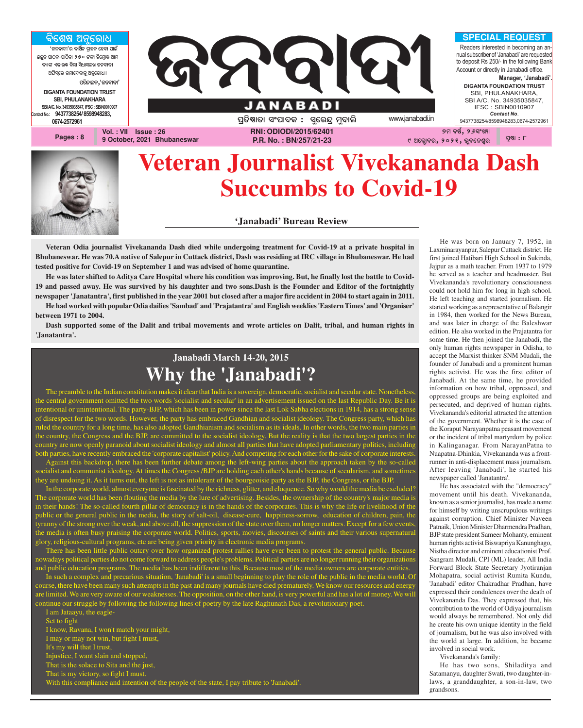

## **Veteran Journalist Vivekananda Dash Succumbs to Covid-19**

#### **'Janabadi' Bureau Review**

**Veteran Odia journalist Vivekananda Dash died while undergoing treatment for Covid-19 at a private hospital in Bhubaneswar. He was 70.A native of Salepur in Cuttack district, Dash was residing at IRC village in Bhubaneswar. He had tested positive for Covid-19 on September 1 and was advised of home quarantine.**

**He was later shifted to Aditya Care Hospital where his condition was improving. But, he finally lost the battle to Covid-19 and passed away. He was survived by his daughter and two sons.Dash is the Founder and Editor of the fortnightly newspaper 'Janatantra', first published in the year 2001 but closed after a major fire accident in 2004 to start again in 2011. He had worked with popular Odia dailies 'Sambad' and 'Prajatantra' and English weeklies 'Eastern Times' and 'Organiser' between 1971 to 2004.**

**Dash supported some of the Dalit and tribal movements and wrote articles on Dalit, tribal, and human rights in 'Janatantra'.**

### **Janabadi March 14-20, 2015 Why the 'Janabadi'?**

The preamble to the Indian constitution makes it clear that India is a sovereign, democratic, socialist and secular state. Nonetheless, the central government omitted the two words 'socialist and secular' in an advertisement issued on the last Republic Day. Be it is intentional or unintentional. The party-BJP, which has been in power since the last Lok Sabha elections in 1914, has a strong sense of disrespect for the two words. However, the party has embraced Gandhian and socialist ideology. The Congress party, which has ruled the country for a long time, has also adopted Gandhianism and socialism as its ideals. In other words, the two main parties in the country, the Congress and the BJP, are committed to the socialist ideology. But the reality is that the two largest parties in the country are now openly paranoid about socialist ideology and almost all parties that have adopted parliamentary politics, including both parties, have recently embraced the 'corporate capitalist' policy. And competing for each other for the sake of corporate interests.

Against this backdrop, there has been further debate among the left-wing parties about the approach taken by the so-called socialist and communist ideology. At times the Congress /BJP are holding each other's hands because of secularism, and sometimes they are undoing it. As it turns out, the left is not as intolerant of the bourgeoisie party as the BJP, the Congress, or the BJP.

In the corporate world, almost everyone is fascinated by the richness, glitter, and eloquence. So why would the media be excluded? The corporate world has been flouting the media by the lure of advertising. Besides, the ownership of the country's major media is in their hands! The so-called fourth pillar of democracy is in the hands of the corporates. This is why the life or livelihood of the public or the general public in the media, the story of salt-oil, disease-cure, happiness-sorrow, education of children, pain, the tyranny of the strong over the weak, and above all, the suppression of the state over them, no longer matters. Except for a few events, the media is often busy praising the corporate world. Politics, sports, movies, discourses of saints and their various supernatural glory, religious-cultural programs, etc are being given priority in electronic media programs.

There has been little public outcry over how organized protest rallies have ever been to protest the general public. Because nowadays political parties do not come forward to address people's problems. Political parties are no longer running their organizations and public education programs. The media has been indifferent to this. Because most of the media owners are corporate entities.

In such a complex and precarious situation, 'Janabadi' is a small beginning to play the role of the public in the media world. Of course, there have been many such attempts in the past and many journals have died prematurely. We know our resources and energy are limited. We are very aware of our weaknesses. The opposition, on the other hand, is very powerful and has a lot of money. We will continue our struggle by following the following lines of poetry by the late Raghunath Das, a revolutionary poet.

I am Jataayu, the eagle-Set to fight I know, Ravana, I won't match your might, I may or may not win, but fight I must, It's my will that I trust, Injustice, I want slain and stopped, That is the solace to Sita and the just, That is my victory, so fight I must.

With this compliance and intention of the people of the state, I pay tribute to 'Janabadi'.

He was born on January 7, 1952, in Laxminarayanpur, Salepur Cuttack district. He first joined Hatibari High School in Sukinda, Jajpur as a math teacher. From 1937 to 1979 he served as a teacher and headmaster. But Vivekananda's revolutionary consciousness could not hold him for long in high school. He left teaching and started journalism. He started working as a representative of Balangir in 1984, then worked for the News Bureau, and was later in charge of the Baleshwar edition. He also worked in the Prajatantra for some time. He then joined the Janabadi, the only human rights newspaper in Odisha, to accept the Marxist thinker SNM Mudali, the founder of Janabadi and a prominent human rights activist. He was the first editor of Janabadi. At the same time, he provided information on how tribal, oppressed, and oppressed groups are being exploited and persecuted, and deprived of human rights. Vivekananda's editorial attracted the attention of the government. Whether it is the case of the Koraput Narayanpatna peasant movement or the incident of tribal martyrdom by police in Kalinganagar. From NarayanPatna to Nuapatna-Dhinkia, Vivekananda was a frontrunner in anti-displacement mass journalism. After leaving 'Janabadi', he started his newspaper called 'Janatantra'.

He has associated with the "democracy" movement until his death. Vivekananda, known as a senior journalist, has made a name for himself by writing unscrupulous writings against corruption. Chief Minister Naveen Patnaik, Union Minister Dharmendra Pradhan, BJP state president Sameer Mohanty, eminent human rights activist Biswapriya Kanunghago, Nistha director and eminent educationist Prof. Sangram Mudali, CPI (ML) leader, All India Forward Block State Secretary Jyotiranjan Mohapatra, social activist Rumita Kundu, 'Janabadi' editor Chakradhar Pradhan, have expressed their condolences over the death of Vivekananda Das. They expressed that, his contribution to the world of Odiya journalism would always be remembered. Not only did he create his own unique identity in the field of journalism, but he was also involved with the world at large. In addition, he became involved in social work.

Vivekananda's family:

He has two sons, Shiladitya and Satamanyu, daughter Swati, two daughter-inlaws, a granddaughter, a son-in-law, two grandsons.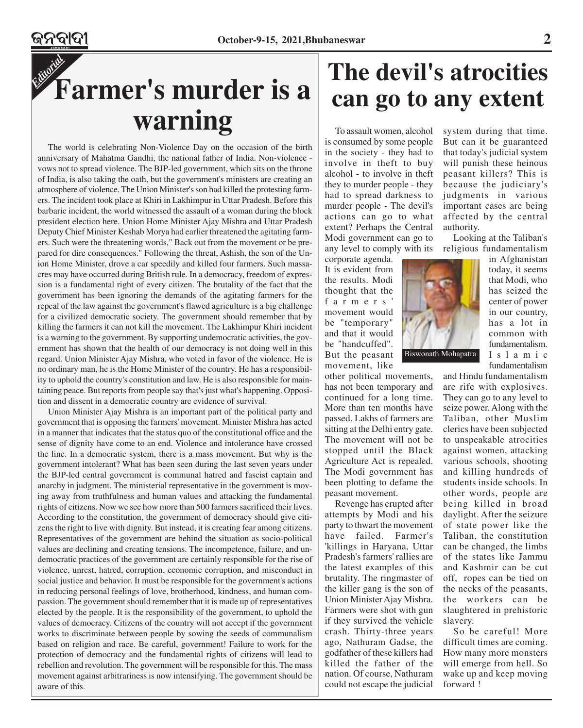## *Editorial* **Farmer's murder is a warning**

The world is celebrating Non-Violence Day on the occasion of the birth anniversary of Mahatma Gandhi, the national father of India. Non-violence vows not to spread violence. The BJP-led government, which sits on the throne of India, is also taking the oath, but the government's ministers are creating an atmosphere of violence. The Union Minister's son had killed the protesting farmers. The incident took place at Khiri in Lakhimpur in Uttar Pradesh. Before this barbaric incident, the world witnessed the assault of a woman during the block president election here. Union Home Minister Ajay Mishra and Uttar Pradesh Deputy Chief Minister Keshab Morya had earlier threatened the agitating farmers. Such were the threatening words," Back out from the movement or be prepared for dire consequences." Following the threat, Ashish, the son of the Union Home Minister, drove a car speedily and killed four farmers. Such massacres may have occurred during British rule. In a democracy, freedom of expression is a fundamental right of every citizen. The brutality of the fact that the government has been ignoring the demands of the agitating farmers for the repeal of the law against the government's flawed agriculture is a big challenge for a civilized democratic society. The government should remember that by killing the farmers it can not kill the movement. The Lakhimpur Khiri incident is a warning to the government. By supporting undemocratic activities, the government has shown that the health of our democracy is not doing well in this regard. Union Minister Ajay Mishra, who voted in favor of the violence. He is no ordinary man, he is the Home Minister of the country. He has a responsibility to uphold the country's constitution and law. He is also responsible for maintaining peace. But reports from people say that's just what's happening. Opposition and dissent in a democratic country are evidence of survival.

Union Minister Ajay Mishra is an important part of the political party and government that is opposing the farmers' movement. Minister Mishra has acted in a manner that indicates that the status quo of the constitutional office and the sense of dignity have come to an end. Violence and intolerance have crossed the line. In a democratic system, there is a mass movement. But why is the government intolerant? What has been seen during the last seven years under the BJP-led central government is communal hatred and fascist captain and anarchy in judgment. The ministerial representative in the government is moving away from truthfulness and human values and attacking the fundamental rights of citizens. Now we see how more than 500 farmers sacrificed their lives. According to the constitution, the government of democracy should give citizens the right to live with dignity. But instead, it is creating fear among citizens. Representatives of the government are behind the situation as socio-political values are declining and creating tensions. The incompetence, failure, and undemocratic practices of the government are certainly responsible for the rise of violence, unrest, hatred, corruption, economic corruption, and misconduct in social justice and behavior. It must be responsible for the government's actions in reducing personal feelings of love, brotherhood, kindness, and human compassion. The government should remember that it is made up of representatives elected by the people. It is the responsibility of the government, to uphold the values of democracy. Citizens of the country will not accept if the government works to discriminate between people by sowing the seeds of communalism based on religion and race. Be careful, government! Failure to work for the protection of democracy and the fundamental rights of citizens will lead to rebellion and revolution. The government will be responsible for this. The mass movement against arbitrariness is now intensifying. The government should be aware of this.

## **The devil's atrocities can go to any extent**

To assault women, alcohol is consumed by some people in the society - they had to involve in theft to buy alcohol - to involve in theft they to murder people - they had to spread darkness to murder people - The devil's actions can go to what extent? Perhaps the Central Modi government can go to any level to comply with its

corporate agenda. It is evident from the results. Modi thought that the farmers' movement would be "temporary" and that it would be "handcuffed". But the peasant movement, like

other political movements, has not been temporary and continued for a long time. More than ten months have passed. Lakhs of farmers are sitting at the Delhi entry gate. The movement will not be stopped until the Black Agriculture Act is repealed. The Modi government has been plotting to defame the peasant movement.

Revenge has erupted after attempts by Modi and his party to thwart the movement have failed. Farmer's 'killings in Haryana, Uttar Pradesh's farmers' rallies are the latest examples of this brutality. The ringmaster of the killer gang is the son of Union Minister Ajay Mishra. Farmers were shot with gun if they survived the vehicle crash. Thirty-three years ago, Nathuram Gadse, the godfather of these killers had killed the father of the nation. Of course, Nathuram could not escape the judicial

system during that time. But can it be guaranteed that today's judicial system will punish these heinous peasant killers? This is because the judiciary's judgments in various important cases are being affected by the central authority.

Looking at the Taliban's religious fundamentalism



in Afghanistan today, it seems that Modi, who has seized the center of power in our country, has a lot in common with fundamentalism. Islamic fundamentalism

and Hindu fundamentalism are rife with explosives. They can go to any level to seize power. Along with the Taliban, other Muslim clerics have been subjected to unspeakable atrocities against women, attacking various schools, shooting and killing hundreds of students inside schools. In other words, people are being killed in broad daylight. After the seizure of state power like the Taliban, the constitution can be changed, the limbs of the states like Jammu and Kashmir can be cut off, ropes can be tied on the necks of the peasants, the workers can be slaughtered in prehistoric slavery.

So be careful! More difficult times are coming. How many more monsters will emerge from hell. So wake up and keep moving forward !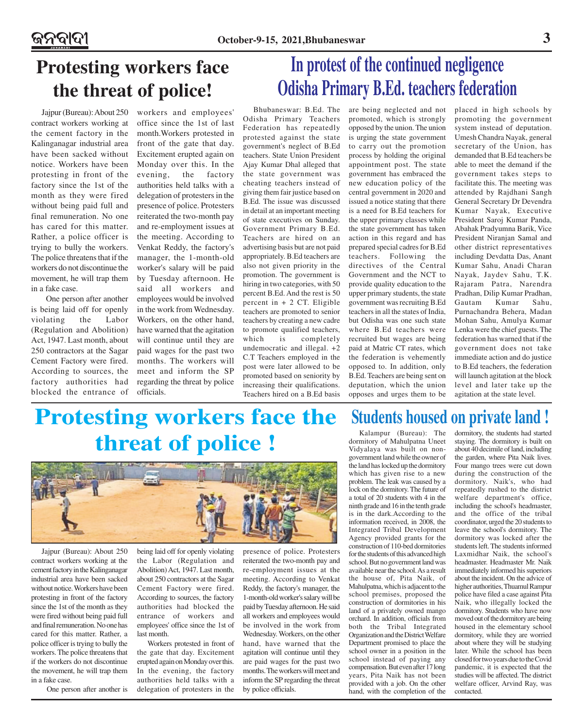### ଜନବାଦୀ

## **Protesting workers face the threat of police!**

Jajpur (Bureau): About 250 workers and employees' contract workers working at the cement factory in the Kalinganagar industrial area have been sacked without notice. Workers have been protesting in front of the factory since the 1st of the month as they were fired without being paid full and final remuneration. No one has cared for this matter. Rather, a police officer is trying to bully the workers. The police threatens that if the workers do not discontinue the movement, he will trap them in a fake case.

 One person after another is being laid off for openly violating the Labor (Regulation and Abolition) Act, 1947. Last month, about 250 contractors at the Sagar Cement Factory were fired. According to sources, the factory authorities had blocked the entrance of

office since the 1st of last month.Workers protested in front of the gate that day. Excitement erupted again on Monday over this. In the evening, the factory authorities held talks with a delegation of protesters in the presence of police. Protesters reiterated the two-month pay and re-employment issues at the meeting. According to Venkat Reddy, the factory's manager, the 1-month-old worker's salary will be paid by Tuesday afternoon. He said all workers and employees would be involved in the work from Wednesday. Workers, on the other hand, have warned that the agitation will continue until they are paid wages for the past two months. The workers will meet and inform the SP regarding the threat by police officials.

Bhubaneswar: B.Ed. The Odisha Primary Teachers Federation has repeatedly protested against the state government's neglect of B.Ed teachers. State Union President Ajay Kumar Dhal alleged that the state government was cheating teachers instead of giving them fair justice based on B.Ed. The issue was discussed in detail at an important meeting of state executives on Sunday. Government Primary B.Ed. Teachers are hired on an advertising basis but are not paid appropriately. B.Ed teachers are also not given priority in the promotion. The government is hiring in two categories, with 50 percent B.Ed. And the rest is 50 percent in  $+ 2$  CT. Eligible teachers are promoted to senior teachers by creating a new cadre to promote qualified teachers, which is completely undemocratic and illegal. +2 C.T Teachers employed in the post were later allowed to be promoted based on seniority by increasing their qualifications. Teachers hired on a B.Ed basis

are being neglected and not promoted, which is strongly opposed by the union. The union is urging the state government to carry out the promotion process by holding the original appointment post. The state government has embraced the new education policy of the central government in 2020 and issued a notice stating that there is a need for B.Ed teachers for the upper primary classes while the state government has taken action in this regard and has prepared special cadres for B.Ed teachers. Following the directives of the Central Government and the NCT to provide quality education to the upper primary students, the state government was recruiting B.Ed teachers in all the states of India, but Odisha was one such state where B.Ed teachers were recruited but wages are being paid at Matric CT rates, which the federation is vehemently opposed to. In addition, only B.Ed. Teachers are being sent on deputation, which the union opposes and urges them to be

**In protest of the continued negligence**

**Odisha Primary B.Ed. teachers federation**

placed in high schools by promoting the government system instead of deputation. Umesh Chandra Nayak, general secretary of the Union, has demanded that B.Ed teachers be able to meet the demand if the government takes steps to facilitate this. The meeting was attended by Rajdhani Sangh General Secretary Dr Devendra Kumar Nayak, Executive President Saroj Kumar Panda, Abahak Pradyumna Barik, Vice President Niranjan Samal and other district representatives including Devdatta Das, Anant Kumar Sahu, Anadi Charan Nayak, Jaydev Sahu, T.K. Rajaram Patra, Narendra Pradhan, Dilip Kumar Pradhan, Gautam Kumar Sahu, Purnachandra Behera, Madan Mohan Sahu, Amulya Kumar Lenka were the chief guests. The federation has warned that if the government does not take immediate action and do justice to B.Ed teachers, the federation will launch agitation at the block level and later take up the agitation at the state level.

## **Protesting workers face the threat of police !**



Jajpur (Bureau): About 250 contract workers working at the cement factory in the Kalinganagar industrial area have been sacked without notice. Workers have been protesting in front of the factory since the 1st of the month as they were fired without being paid full and final remuneration. No one has cared for this matter. Rather, a police officer is trying to bully the workers. The police threatens that if the workers do not discontinue the movement, he will trap them in a fake case.

One person after another is

being laid off for openly violating the Labor (Regulation and Abolition) Act, 1947. Last month, about 250 contractors at the Sagar Cement Factory were fired. According to sources, the factory authorities had blocked the entrance of workers and employees' office since the 1st of last month.

Workers protested in front of the gate that day. Excitement erupted again on Monday over this. In the evening, the factory authorities held talks with a delegation of protesters in the

presence of police. Protesters reiterated the two-month pay and re-employment issues at the meeting. According to Venkat Reddy, the factory's manager, the 1-month-old worker's salary will be paid by Tuesday afternoon. He said all workers and employees would be involved in the work from Wednesday. Workers, on the other hand, have warned that the agitation will continue until they are paid wages for the past two months. The workers will meet and inform the SP regarding the threat by police officials.

### **Students housed on private land !**

Kalampur (Bureau): The dormitory of Mahulpatna Uneet Vidyalaya was built on nongovernment land while the owner of the land has locked up the dormitory which has given rise to a new problem. The leak was caused by a lock on the dormitory. The future of a total of 20 students with 4 in the ninth grade and 16 in the tenth grade is in the dark.According to the information received, in 2008, the Integrated Tribal Development Agency provided grants for the construction of 110-bed dormitories for the students of this advanced high school. But no government land was available near the school. As a result the house of, Pita Naik, of Mahulpatna, which is adjacent to the school premises, proposed the construction of dormitories in his land of a privately owned mango orchard. In addition, officials from both the Tribal Integrated Organization and the District Welfare Department promised to place the school owner in a position in the school instead of paying any compensation. But even after 17 long years, Pita Naik has not been provided with a job. On the other hand, with the completion of the

dormitory, the students had started staying. The dormitory is built on about 40 decimile of land, including the garden, where Pita Naik lives. Four mango trees were cut down during the construction of the dormitory. Naik's, who had repeatedly rushed to the district welfare department's office, including the school's headmaster, and the office of the tribal coordinator, urged the 20 students to leave the school's dormitory. The dormitory was locked after the students left. The students informed Laxmidhar Naik, the school's headmaster. Headmaster Mr. Naik immediately informed his superiors about the incident. On the advice of higher authorities, Thuamul Rampur police have filed a case against Pita Naik, who illegally locked the dormitory. Students who have now moved out of the dormitory are being housed in the elementary school dormitory, while they are worried about where they will be studying later. While the school has been closed for two years due to the Covid pandemic, it is expected that the studies will be affected. The district welfare officer, Arvind Ray, was contacted.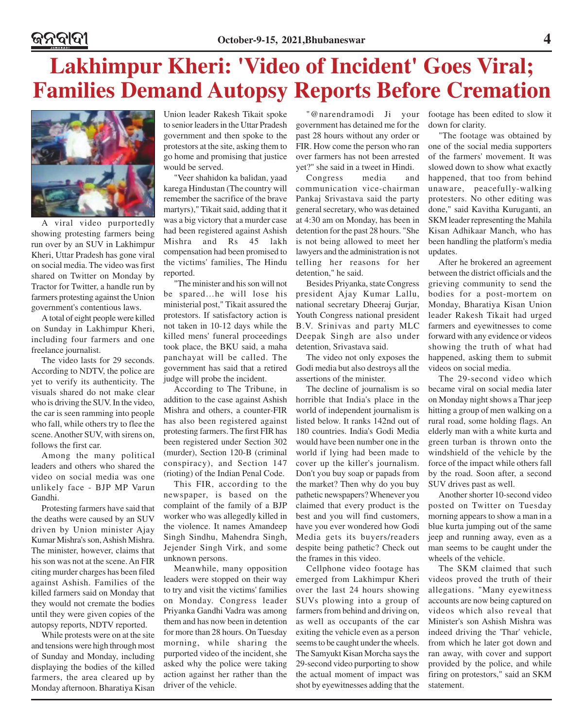## **Lakhimpur Kheri: 'Video of Incident' Goes Viral; Families Demand Autopsy Reports Before Cremation**



A viral video purportedly showing protesting farmers being run over by an SUV in Lakhimpur Kheri, Uttar Pradesh has gone viral on social media. The video was first shared on Twitter on Monday by Tractor for Twitter, a handle run by farmers protesting against the Union government's contentious laws.

A total of eight people were killed on Sunday in Lakhimpur Kheri, including four farmers and one freelance journalist.

The video lasts for 29 seconds. According to NDTV, the police are yet to verify its authenticity. The visuals shared do not make clear who is driving the SUV. In the video, the car is seen ramming into people who fall, while others try to flee the scene. Another SUV, with sirens on, follows the first car.

Among the many political leaders and others who shared the video on social media was one unlikely face - BJP MP Varun Gandhi.

Protesting farmers have said that the deaths were caused by an SUV driven by Union minister Ajay Kumar Mishra's son, Ashish Mishra. The minister, however, claims that his son was not at the scene. An FIR citing murder charges has been filed against Ashish. Families of the killed farmers said on Monday that they would not cremate the bodies until they were given copies of the autopsy reports, NDTV reported.

While protests were on at the site and tensions were high through most of Sunday and Monday, including displaying the bodies of the killed farmers, the area cleared up by Monday afternoon. Bharatiya Kisan Union leader Rakesh Tikait spoke to senior leaders in the Uttar Pradesh government and then spoke to the protestors at the site, asking them to go home and promising that justice would be served.

"Veer shahidon ka balidan, yaad karega Hindustan (The country will remember the sacrifice of the brave martyrs)," Tikait said, adding that it was a big victory that a murder case had been registered against Ashish Mishra and Rs 45 lakh compensation had been promised to the victims' families, The Hindu reported.

"The minister and his son will not be spared…he will lose his ministerial post," Tikait assured the protestors. If satisfactory action is not taken in 10-12 days while the killed mens' funeral proceedings took place, the BKU said, a maha panchayat will be called. The government has said that a retired judge will probe the incident.

According to The Tribune, in addition to the case against Ashish Mishra and others, a counter-FIR has also been registered against protesting farmers. The first FIR has been registered under Section 302 (murder), Section 120-B (criminal conspiracy), and Section 147 (rioting) of the Indian Penal Code.

This FIR, according to the newspaper, is based on the complaint of the family of a BJP worker who was allegedly killed in the violence. It names Amandeep Singh Sindhu, Mahendra Singh, Jejender Singh Virk, and some unknown persons.

Meanwhile, many opposition leaders were stopped on their way to try and visit the victims' families on Monday. Congress leader Priyanka Gandhi Vadra was among them and has now been in detention for more than 28 hours. On Tuesday morning, while sharing the purported video of the incident, she asked why the police were taking action against her rather than the driver of the vehicle.

"@narendramodi Ji your government has detained me for the past 28 hours without any order or FIR. How come the person who ran over farmers has not been arrested yet?" she said in a tweet in Hindi.

Congress media and communication vice-chairman Pankaj Srivastava said the party general secretary, who was detained at 4:30 am on Monday, has been in detention for the past 28 hours. "She is not being allowed to meet her lawyers and the administration is not telling her reasons for her detention," he said.

Besides Priyanka, state Congress president Ajay Kumar Lallu, national secretary Dheeraj Gurjar, Youth Congress national president B.V. Srinivas and party MLC Deepak Singh are also under detention, Srivastava said.

The video not only exposes the Godi media but also destroys all the assertions of the minister.

The decline of journalism is so horrible that India's place in the world of independent journalism is listed below. It ranks 142nd out of 180 countries. India's Godi Media would have been number one in the world if lying had been made to cover up the killer's journalism. Don't you buy soap or papads from the market? Then why do you buy pathetic newspapers? Whenever you claimed that every product is the best and you will find customers, have you ever wondered how Godi Media gets its buyers/readers despite being pathetic? Check out the frames in this video.

Cellphone video footage has emerged from Lakhimpur Kheri over the last 24 hours showing SUVs plowing into a group of farmers from behind and driving on, as well as occupants of the car exiting the vehicle even as a person seems to be caught under the wheels. The Samyukt Kisan Morcha says the 29-second video purporting to show the actual moment of impact was shot by eyewitnesses adding that the footage has been edited to slow it down for clarity.

"The footage was obtained by one of the social media supporters of the farmers' movement. It was slowed down to show what exactly happened, that too from behind unaware, peacefully-walking protesters. No other editing was done," said Kavitha Kuruganti, an SKM leader representing the Mahila Kisan Adhikaar Manch, who has been handling the platform's media updates.

After he brokered an agreement between the district officials and the grieving community to send the bodies for a post-mortem on Monday, Bharatiya Kisan Union leader Rakesh Tikait had urged farmers and eyewitnesses to come forward with any evidence or videos showing the truth of what had happened, asking them to submit videos on social media.

The 29-second video which became viral on social media later on Monday night shows a Thar jeep hitting a group of men walking on a rural road, some holding flags. An elderly man with a white kurta and green turban is thrown onto the windshield of the vehicle by the force of the impact while others fall by the road. Soon after, a second SUV drives past as well.

Another shorter 10-second video posted on Twitter on Tuesday morning appears to show a man in a blue kurta jumping out of the same jeep and running away, even as a man seems to be caught under the wheels of the vehicle.

The SKM claimed that such videos proved the truth of their allegations. "Many eyewitness accounts are now being captured on videos which also reveal that Minister's son Ashish Mishra was indeed driving the 'Thar' vehicle, from which he later got down and ran away, with cover and support provided by the police, and while firing on protestors," said an SKM statement.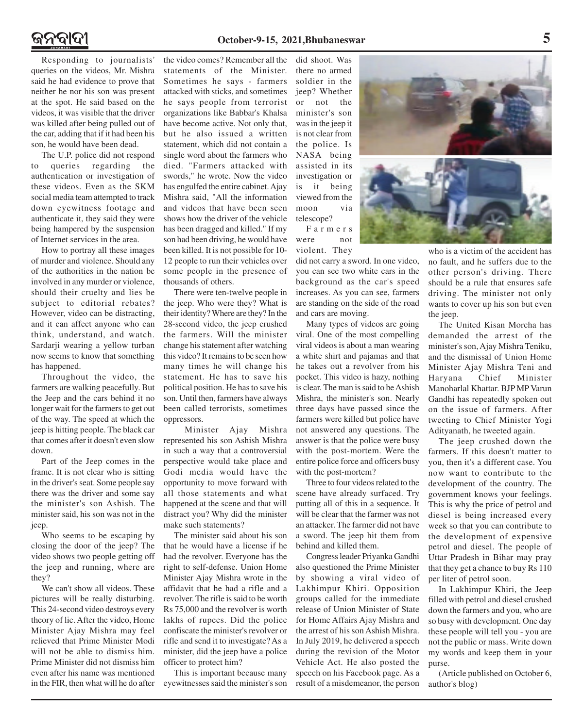### ନ୍ତବାଦୀ

Responding to journalists' queries on the videos, Mr. Mishra said he had evidence to prove that neither he nor his son was present at the spot. He said based on the videos, it was visible that the driver was killed after being pulled out of the car, adding that if it had been his son, he would have been dead.

The U.P. police did not respond to queries regarding the authentication or investigation of these videos. Even as the SKM social media team attempted to track down eyewitness footage and authenticate it, they said they were being hampered by the suspension of Internet services in the area.

How to portray all these images of murder and violence. Should any of the authorities in the nation be involved in any murder or violence, should their cruelty and lies be subject to editorial rebates? However, video can be distracting, and it can affect anyone who can think, understand, and watch. Sardarji wearing a yellow turban now seems to know that something has happened.

Throughout the video, the farmers are walking peacefully. But the Jeep and the cars behind it no longer wait for the farmers to get out of the way. The speed at which the jeep is hitting people. The black car that comes after it doesn't even slow down.

Part of the Jeep comes in the frame. It is not clear who is sitting in the driver's seat. Some people say there was the driver and some say the minister's son Ashish. The minister said, his son was not in the jeep.

Who seems to be escaping by closing the door of the jeep? The video shows two people getting off the jeep and running, where are they?

We can't show all videos. These pictures will be really disturbing. This 24-second video destroys every theory of lie. After the video, Home Minister Ajay Mishra may feel relieved that Prime Minister Modi will not be able to dismiss him. Prime Minister did not dismiss him even after his name was mentioned in the FIR, then what will he do after the video comes? Remember all the statements of the Minister. Sometimes he says - farmers attacked with sticks, and sometimes he says people from terrorist organizations like Babbar's Khalsa have become active. Not only that, but he also issued a written statement, which did not contain a single word about the farmers who died. "Farmers attacked with swords," he wrote. Now the video has engulfed the entire cabinet. Ajay Mishra said, "All the information and videos that have been seen shows how the driver of the vehicle has been dragged and killed." If my son had been driving, he would have been killed. It is not possible for 10- 12 people to run their vehicles over some people in the presence of thousands of others.

There were ten-twelve people in the jeep. Who were they? What is their identity? Where are they? In the 28-second video, the jeep crushed the farmers. Will the minister change his statement after watching this video? It remains to be seen how many times he will change his statement. He has to save his political position. He has to save his son. Until then, farmers have always been called terrorists, sometimes oppressors.

 Minister Ajay Mishra represented his son Ashish Mishra in such a way that a controversial perspective would take place and Godi media would have the opportunity to move forward with all those statements and what happened at the scene and that will distract you? Why did the minister make such statements?

The minister said about his son that he would have a license if he had the revolver. Everyone has the right to self-defense. Union Home Minister Ajay Mishra wrote in the affidavit that he had a rifle and a revolver. The rifle is said to be worth Rs 75,000 and the revolver is worth lakhs of rupees. Did the police confiscate the minister's revolver or rifle and send it to investigate? As a minister, did the jeep have a police officer to protect him?

This is important because many eyewitnesses said the minister's son did shoot. Was there no armed soldier in the jeep? Whether or not the minister's son was in the jeep it is not clear from the police. Is NASA being assisted in its investigation or is it being viewed from the moon via telescope? Farmers

were not violent. They

did not carry a sword. In one video, you can see two white cars in the background as the car's speed increases. As you can see, farmers are standing on the side of the road and cars are moving.

Many types of videos are going viral. One of the most compelling viral videos is about a man wearing a white shirt and pajamas and that he takes out a revolver from his pocket. This video is hazy, nothing is clear. The man is said to be Ashish Mishra, the minister's son. Nearly three days have passed since the farmers were killed but police have not answered any questions. The answer is that the police were busy with the post-mortem. Were the entire police force and officers busy with the post-mortem?

Three to four videos related to the scene have already surfaced. Try putting all of this in a sequence. It will be clear that the farmer was not an attacker. The farmer did not have a sword. The jeep hit them from behind and killed them.

Congress leader Priyanka Gandhi also questioned the Prime Minister by showing a viral video of Lakhimpur Khiri. Opposition groups called for the immediate release of Union Minister of State for Home Affairs Ajay Mishra and the arrest of his son Ashish Mishra. In July 2019, he delivered a speech during the revision of the Motor Vehicle Act. He also posted the speech on his Facebook page. As a result of a misdemeanor, the person



who is a victim of the accident has no fault, and he suffers due to the other person's driving. There should be a rule that ensures safe driving. The minister not only wants to cover up his son but even the jeep.

The United Kisan Morcha has demanded the arrest of the minister's son, Ajay Mishra Teniku, and the dismissal of Union Home Minister Ajay Mishra Teni and Haryana Chief Minister Manoharlal Khattar. BJP MP Varun Gandhi has repeatedly spoken out on the issue of farmers. After tweeting to Chief Minister Yogi Adityanath, he tweeted again.

The jeep crushed down the farmers. If this doesn't matter to you, then it's a different case. You now want to contribute to the development of the country. The government knows your feelings. This is why the price of petrol and diesel is being increased every week so that you can contribute to the development of expensive petrol and diesel. The people of Uttar Pradesh in Bihar may pray that they get a chance to buy Rs 110 per liter of petrol soon.

In Lakhimpur Khiri, the Jeep filled with petrol and diesel crushed down the farmers and you, who are so busy with development. One day these people will tell you - you are not the public or mass. Write down my words and keep them in your purse.

(Article published on October 6, author's blog)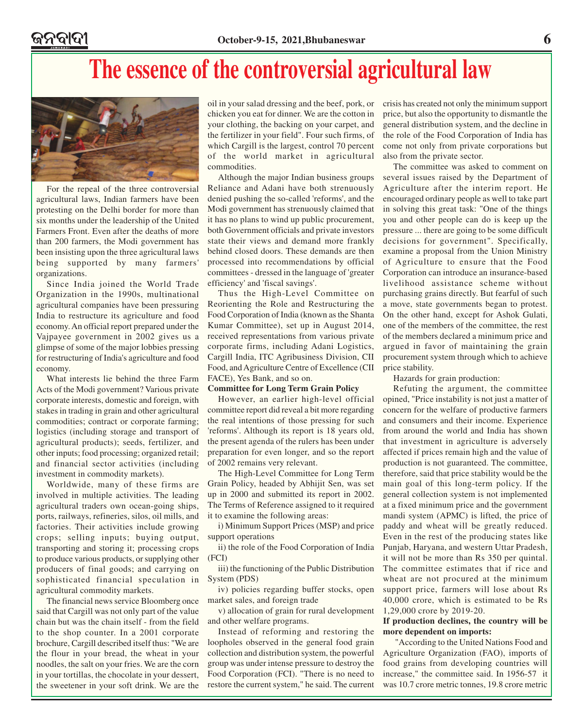## **The essence of the controversial agricultural law**



For the repeal of the three controversial agricultural laws, Indian farmers have been protesting on the Delhi border for more than six months under the leadership of the United Farmers Front. Even after the deaths of more than 200 farmers, the Modi government has been insisting upon the three agricultural laws being supported by many farmers' organizations.

Since India joined the World Trade Organization in the 1990s, multinational agricultural companies have been pressuring India to restructure its agriculture and food economy. An official report prepared under the Vajpayee government in 2002 gives us a glimpse of some of the major lobbies pressing for restructuring of India's agriculture and food economy.

What interests lie behind the three Farm Acts of the Modi government? Various private corporate interests, domestic and foreign, with stakes in trading in grain and other agricultural commodities; contract or corporate farming; logistics (including storage and transport of agricultural products); seeds, fertilizer, and other inputs; food processing; organized retail; and financial sector activities (including investment in commodity markets).

Worldwide, many of these firms are involved in multiple activities. The leading agricultural traders own ocean-going ships, ports, railways, refineries, silos, oil mills, and factories. Their activities include growing crops; selling inputs; buying output, transporting and storing it; processing crops to produce various products, or supplying other producers of final goods; and carrying on sophisticated financial speculation in agricultural commodity markets.

The financial news service Bloomberg once said that Cargill was not only part of the value chain but was the chain itself - from the field to the shop counter. In a 2001 corporate brochure, Cargill described itself thus: "We are the flour in your bread, the wheat in your noodles, the salt on your fries. We are the corn in your tortillas, the chocolate in your dessert, the sweetener in your soft drink. We are the

oil in your salad dressing and the beef, pork, or chicken you eat for dinner. We are the cotton in your clothing, the backing on your carpet, and the fertilizer in your field". Four such firms, of which Cargill is the largest, control 70 percent of the world market in agricultural commodities.

Although the major Indian business groups Reliance and Adani have both strenuously denied pushing the so-called 'reforms', and the Modi government has strenuously claimed that it has no plans to wind up public procurement, both Government officials and private investors state their views and demand more frankly behind closed doors. These demands are then processed into recommendations by official committees - dressed in the language of 'greater efficiency' and 'fiscal savings'.

Thus the High-Level Committee on Reorienting the Role and Restructuring the Food Corporation of India (known as the Shanta Kumar Committee), set up in August 2014, received representations from various private corporate firms, including Adani Logistics, Cargill India, ITC Agribusiness Division, CII Food, and Agriculture Centre of Excellence (CII FACE), Yes Bank, and so on.

#### **Committee for Long Term Grain Policy**

However, an earlier high-level official committee report did reveal a bit more regarding the real intentions of those pressing for such 'reforms'. Although its report is 18 years old, the present agenda of the rulers has been under preparation for even longer, and so the report of 2002 remains very relevant.

The High-Level Committee for Long Term Grain Policy, headed by Abhijit Sen, was set up in 2000 and submitted its report in 2002. The Terms of Reference assigned to it required it to examine the following areas:

i) Minimum Support Prices (MSP) and price support operations

ii) the role of the Food Corporation of India (FCI)

iii) the functioning of the Public Distribution System (PDS)

iv) policies regarding buffer stocks, open market sales, and foreign trade

v) allocation of grain for rural development and other welfare programs.

Instead of reforming and restoring the loopholes observed in the general food grain collection and distribution system, the powerful group was under intense pressure to destroy the Food Corporation (FCI). "There is no need to restore the current system," he said. The current

crisis has created not only the minimum support price, but also the opportunity to dismantle the general distribution system, and the decline in the role of the Food Corporation of India has come not only from private corporations but also from the private sector.

The committee was asked to comment on several issues raised by the Department of Agriculture after the interim report. He encouraged ordinary people as well to take part in solving this great task: "One of the things you and other people can do is keep up the pressure ... there are going to be some difficult decisions for government". Specifically, examine a proposal from the Union Ministry of Agriculture to ensure that the Food Corporation can introduce an insurance-based livelihood assistance scheme without purchasing grains directly. But fearful of such a move, state governments began to protest. On the other hand, except for Ashok Gulati, one of the members of the committee, the rest of the members declared a minimum price and argued in favor of maintaining the grain procurement system through which to achieve price stability.

Hazards for grain production:

Refuting the argument, the committee opined, "Price instability is not just a matter of concern for the welfare of productive farmers and consumers and their income. Experience from around the world and India has shown that investment in agriculture is adversely affected if prices remain high and the value of production is not guaranteed. The committee, therefore, said that price stability would be the main goal of this long-term policy. If the general collection system is not implemented at a fixed minimum price and the government mandi system (APMC) is lifted, the price of paddy and wheat will be greatly reduced. Even in the rest of the producing states like Punjab, Haryana, and western Uttar Pradesh, it will not be more than Rs 350 per quintal. The committee estimates that if rice and wheat are not procured at the minimum support price, farmers will lose about Rs 40,000 crore, which is estimated to be Rs 1,29,000 crore by 2019-20.

### **If production declines, the country will be more dependent on imports:**

 "According to the United Nations Food and Agriculture Organization (FAO), imports of food grains from developing countries will increase," the committee said. In 1956-57 it was 10.7 crore metric tonnes, 19.8 crore metric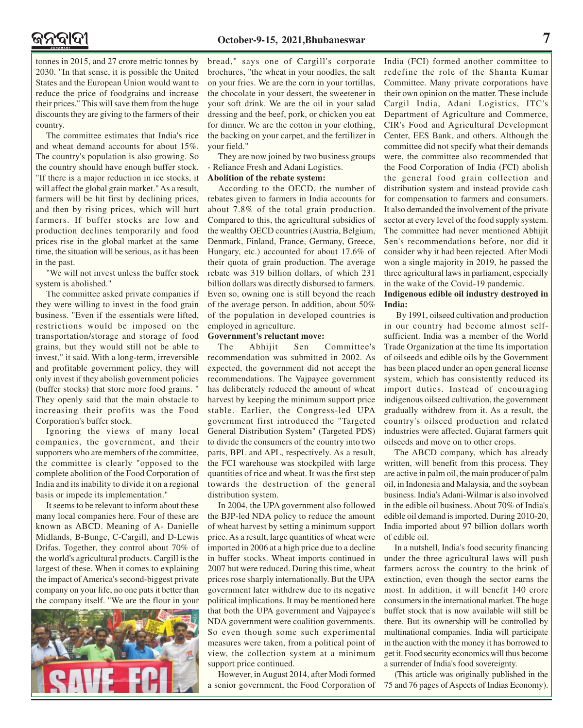tonnes in 2015, and 27 crore metric tonnes by 2030. "In that sense, it is possible the United States and the European Union would want to reduce the price of foodgrains and increase their prices." This will save them from the huge discounts they are giving to the farmers of their country.

The committee estimates that India's rice and wheat demand accounts for about 15%. The country's population is also growing. So the country should have enough buffer stock. "If there is a major reduction in ice stocks, it will affect the global grain market." As a result, farmers will be hit first by declining prices, and then by rising prices, which will hurt farmers. If buffer stocks are low and production declines temporarily and food prices rise in the global market at the same time, the situation will be serious, as it has been in the past.

"We will not invest unless the buffer stock system is abolished."

The committee asked private companies if they were willing to invest in the food grain business. "Even if the essentials were lifted, restrictions would be imposed on the transportation/storage and storage of food grains, but they would still not be able to invest," it said. With a long-term, irreversible and profitable government policy, they will only invest if they abolish government policies (buffer stocks) that store more food grains. " They openly said that the main obstacle to increasing their profits was the Food Corporation's buffer stock.

Ignoring the views of many local companies, the government, and their supporters who are members of the committee, the committee is clearly "opposed to the complete abolition of the Food Corporation of India and its inability to divide it on a regional basis or impede its implementation."

It seems to be relevant to inform about these many local companies here. Four of these are known as ABCD. Meaning of A- Danielle Midlands, B-Bunge, C-Cargill, and D-Lewis Drifas. Together, they control about 70% of the world's agricultural products. Cargill is the largest of these. When it comes to explaining the impact of America's second-biggest private company on your life, no one puts it better than the company itself. "We are the flour in your



bread," says one of Cargill's corporate brochures, "the wheat in your noodles, the salt on your fries. We are the corn in your tortillas, the chocolate in your dessert, the sweetener in your soft drink. We are the oil in your salad dressing and the beef, pork, or chicken you eat for dinner. We are the cotton in your clothing, the backing on your carpet, and the fertilizer in your field."

They are now joined by two business groups - Reliance Fresh and Adani Logistics.

#### **Abolition of the rebate system:**

According to the OECD, the number of rebates given to farmers in India accounts for about 7.8% of the total grain production. Compared to this, the agricultural subsidies of the wealthy OECD countries (Austria, Belgium, Denmark, Finland, France, Germany, Greece, Hungary, etc.) accounted for about 17.6% of their quota of grain production. The average rebate was 319 billion dollars, of which 231 billion dollars was directly disbursed to farmers. Even so, owning one is still beyond the reach of the average person. In addition, about 50% of the population in developed countries is employed in agriculture.

#### **Government's reluctant move:**

The Abhijit Sen Committee's recommendation was submitted in 2002. As expected, the government did not accept the recommendations. The Vajpayee government has deliberately reduced the amount of wheat harvest by keeping the minimum support price stable. Earlier, the Congress-led UPA government first introduced the "Targeted General Distribution System" (Targeted PDS) to divide the consumers of the country into two parts, BPL and APL, respectively. As a result, the FCI warehouse was stockpiled with large quantities of rice and wheat. It was the first step towards the destruction of the general distribution system.

In 2004, the UPA government also followed the BJP-led NDA policy to reduce the amount of wheat harvest by setting a minimum support price. As a result, large quantities of wheat were imported in 2006 at a high price due to a decline in buffer stocks. Wheat imports continued in 2007 but were reduced. During this time, wheat prices rose sharply internationally. But the UPA government later withdrew due to its negative political implications. It may be mentioned here that both the UPA government and Vajpayee's NDA government were coalition governments. So even though some such experimental measures were taken, from a political point of view, the collection system at a minimum support price continued.

However, in August 2014, after Modi formed a senior government, the Food Corporation of India (FCI) formed another committee to redefine the role of the Shanta Kumar Committee. Many private corporations have their own opinion on the matter. These include Cargil India, Adani Logistics, ITC's Department of Agriculture and Commerce, CIR's Food and Agricultural Development Center, EES Bank, and others. Although the committee did not specify what their demands were, the committee also recommended that the Food Corporation of India (FCI) abolish the general food grain collection and distribution system and instead provide cash for compensation to farmers and consumers. It also demanded the involvement of the private sector at every level of the food supply system. The committee had never mentioned Abhijit Sen's recommendations before, nor did it consider why it had been rejected. After Modi won a single majority in 2019, he passed the three agricultural laws in parliament, especially in the wake of the Covid-19 pandemic.

### **Indigenous edible oil industry destroyed in India:**

 By 1991, oilseed cultivation and production in our country had become almost selfsufficient. India was a member of the World Trade Organization at the time Its importation of oilseeds and edible oils by the Government has been placed under an open general license system, which has consistently reduced its import duties. Instead of encouraging indigenous oilseed cultivation, the government gradually withdrew from it. As a result, the country's oilseed production and related industries were affected. Gujarat farmers quit oilseeds and move on to other crops.

The ABCD company, which has already written, will benefit from this process. They are active in palm oil, the main producer of palm oil, in Indonesia and Malaysia, and the soybean business. India's Adani-Wilmar is also involved in the edible oil business. About 70% of India's edible oil demand is imported. During 2010-20, India imported about 97 billion dollars worth of edible oil.

In a nutshell, India's food security financing under the three agricultural laws will push farmers across the country to the brink of extinction, even though the sector earns the most. In addition, it will benefit 140 crore consumers in the international market. The huge buffet stock that is now available will still be there. But its ownership will be controlled by multinational companies. India will participate in the auction with the money it has borrowed to get it. Food security economics will thus become a surrender of India's food sovereignty.

(This article was originally published in the 75 and 76 pages of Aspects of Indias Economy).